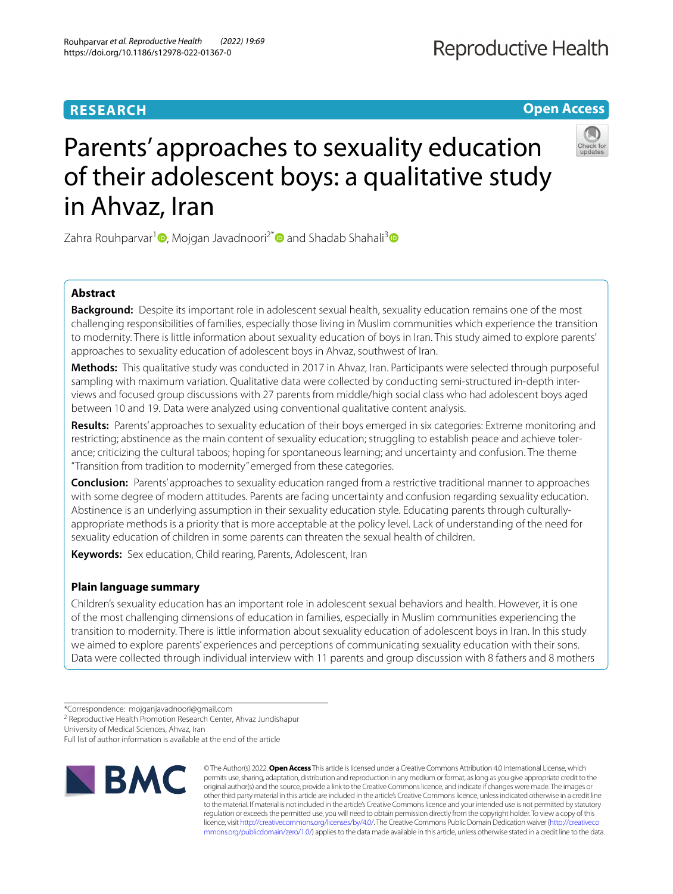## **RESEARCH**

**Open Access**

# Parents' approaches to sexuality education of their adolescent boys: a qualitative study in Ahvaz, Iran

Zahra Rouhparvar<sup>1</sup> **D**[,](http://orcid.org/0000-0002-1805-0773) Mojgan Javadnoori<sup>2[\\*](http://orcid.org/0000-0001-7645-3629)</sup> **D** and Shadab Shahali<sup>[3](http://orcid.org/0000-0003-0421-9504)</sup> **D** 

## **Abstract**

**Background:** Despite its important role in adolescent sexual health, sexuality education remains one of the most challenging responsibilities of families, especially those living in Muslim communities which experience the transition to modernity. There is little information about sexuality education of boys in Iran. This study aimed to explore parents' approaches to sexuality education of adolescent boys in Ahvaz, southwest of Iran.

**Methods:** This qualitative study was conducted in 2017 in Ahvaz, Iran. Participants were selected through purposeful sampling with maximum variation. Qualitative data were collected by conducting semi-structured in-depth interviews and focused group discussions with 27 parents from middle/high social class who had adolescent boys aged between 10 and 19. Data were analyzed using conventional qualitative content analysis.

**Results:** Parents' approaches to sexuality education of their boys emerged in six categories: Extreme monitoring and restricting; abstinence as the main content of sexuality education; struggling to establish peace and achieve tolerance; criticizing the cultural taboos; hoping for spontaneous learning; and uncertainty and confusion. The theme "Transition from tradition to modernity" emerged from these categories.

**Conclusion:** Parents' approaches to sexuality education ranged from a restrictive traditional manner to approaches with some degree of modern attitudes. Parents are facing uncertainty and confusion regarding sexuality education. Abstinence is an underlying assumption in their sexuality education style. Educating parents through culturallyappropriate methods is a priority that is more acceptable at the policy level. Lack of understanding of the need for sexuality education of children in some parents can threaten the sexual health of children.

**Keywords:** Sex education, Child rearing, Parents, Adolescent, Iran

## **Plain language summary**

Children's sexuality education has an important role in adolescent sexual behaviors and health. However, it is one of the most challenging dimensions of education in families, especially in Muslim communities experiencing the transition to modernity. There is little information about sexuality education of adolescent boys in Iran. In this study we aimed to explore parents' experiences and perceptions of communicating sexuality education with their sons. Data were collected through individual interview with 11 parents and group discussion with 8 fathers and 8 mothers

University of Medical Sciences, Ahvaz, Iran

Full list of author information is available at the end of the article



© The Author(s) 2022. **Open Access** This article is licensed under a Creative Commons Attribution 4.0 International License, which permits use, sharing, adaptation, distribution and reproduction in any medium or format, as long as you give appropriate credit to the original author(s) and the source, provide a link to the Creative Commons licence, and indicate if changes were made. The images or other third party material in this article are included in the article's Creative Commons licence, unless indicated otherwise in a credit line to the material. If material is not included in the article's Creative Commons licence and your intended use is not permitted by statutory regulation or exceeds the permitted use, you will need to obtain permission directly from the copyright holder. To view a copy of this licence, visit [http://creativecommons.org/licenses/by/4.0/.](http://creativecommons.org/licenses/by/4.0/) The Creative Commons Public Domain Dedication waiver ([http://creativeco](http://creativecommons.org/publicdomain/zero/1.0/) [mmons.org/publicdomain/zero/1.0/](http://creativecommons.org/publicdomain/zero/1.0/)) applies to the data made available in this article, unless otherwise stated in a credit line to the data.

<sup>\*</sup>Correspondence: mojganjavadnoori@gmail.com

<sup>&</sup>lt;sup>2</sup> Reproductive Health Promotion Research Center, Ahvaz Jundishapur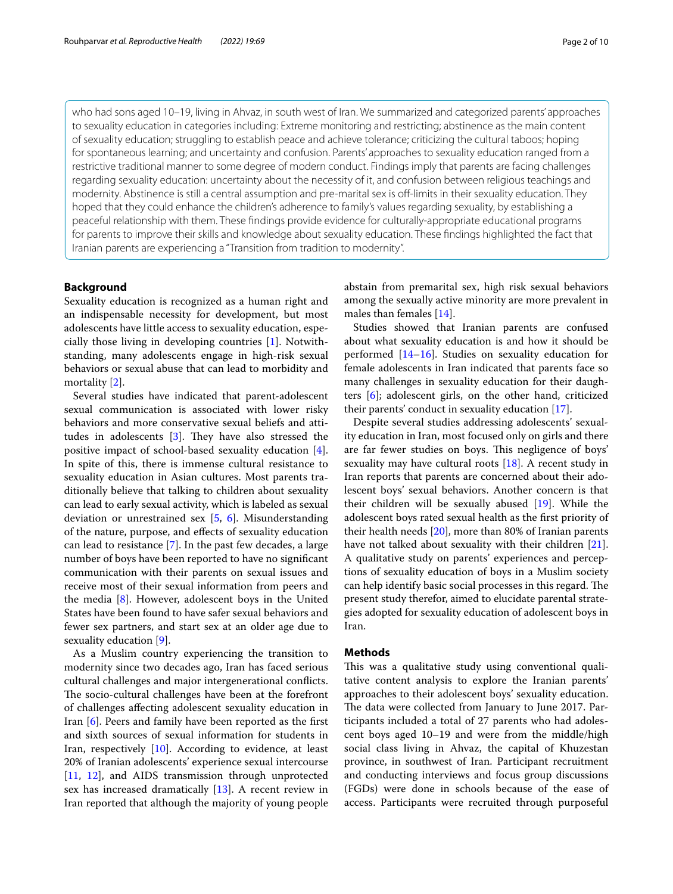who had sons aged 10–19, living in Ahvaz, in south west of Iran. We summarized and categorized parents' approaches to sexuality education in categories including: Extreme monitoring and restricting; abstinence as the main content of sexuality education; struggling to establish peace and achieve tolerance; criticizing the cultural taboos; hoping for spontaneous learning; and uncertainty and confusion. Parents' approaches to sexuality education ranged from a restrictive traditional manner to some degree of modern conduct. Findings imply that parents are facing challenges regarding sexuality education: uncertainty about the necessity of it, and confusion between religious teachings and modernity. Abstinence is still a central assumption and pre-marital sex is off-limits in their sexuality education. They hoped that they could enhance the children's adherence to family's values regarding sexuality, by establishing a peaceful relationship with them. These fndings provide evidence for culturally-appropriate educational programs for parents to improve their skills and knowledge about sexuality education. These fndings highlighted the fact that Iranian parents are experiencing a "Transition from tradition to modernity".

## **Background**

Sexuality education is recognized as a human right and an indispensable necessity for development, but most adolescents have little access to sexuality education, especially those living in developing countries [[1\]](#page-8-0). Notwithstanding, many adolescents engage in high-risk sexual behaviors or sexual abuse that can lead to morbidity and mortality [\[2](#page-9-0)].

Several studies have indicated that parent-adolescent sexual communication is associated with lower risky behaviors and more conservative sexual beliefs and attitudes in adolescents  $[3]$  $[3]$ . They have also stressed the positive impact of school-based sexuality education [\[4](#page-9-2)]. In spite of this, there is immense cultural resistance to sexuality education in Asian cultures. Most parents traditionally believe that talking to children about sexuality can lead to early sexual activity, which is labeled as sexual deviation or unrestrained sex [\[5](#page-9-3), [6\]](#page-9-4). Misunderstanding of the nature, purpose, and efects of sexuality education can lead to resistance [\[7](#page-9-5)]. In the past few decades, a large number of boys have been reported to have no signifcant communication with their parents on sexual issues and receive most of their sexual information from peers and the media [\[8](#page-9-6)]. However, adolescent boys in the United States have been found to have safer sexual behaviors and fewer sex partners, and start sex at an older age due to sexuality education [[9\]](#page-9-7).

As a Muslim country experiencing the transition to modernity since two decades ago, Iran has faced serious cultural challenges and major intergenerational conficts. The socio-cultural challenges have been at the forefront of challenges afecting adolescent sexuality education in Iran [[6\]](#page-9-4). Peers and family have been reported as the frst and sixth sources of sexual information for students in Iran, respectively  $[10]$  $[10]$ . According to evidence, at least 20% of Iranian adolescents' experience sexual intercourse [[11,](#page-9-9) [12\]](#page-9-10), and AIDS transmission through unprotected sex has increased dramatically [[13\]](#page-9-11). A recent review in Iran reported that although the majority of young people abstain from premarital sex, high risk sexual behaviors among the sexually active minority are more prevalent in males than females [[14\]](#page-9-12).

Studies showed that Iranian parents are confused about what sexuality education is and how it should be performed [\[14–](#page-9-12)[16\]](#page-9-13). Studies on sexuality education for female adolescents in Iran indicated that parents face so many challenges in sexuality education for their daughters [[6](#page-9-4)]; adolescent girls, on the other hand, criticized their parents' conduct in sexuality education [\[17](#page-9-14)].

Despite several studies addressing adolescents' sexuality education in Iran, most focused only on girls and there are far fewer studies on boys. This negligence of boys' sexuality may have cultural roots [[18\]](#page-9-15). A recent study in Iran reports that parents are concerned about their adolescent boys' sexual behaviors. Another concern is that their children will be sexually abused [[19](#page-9-16)]. While the adolescent boys rated sexual health as the frst priority of their health needs [[20\]](#page-9-17), more than 80% of Iranian parents have not talked about sexuality with their children [\[21](#page-9-18)]. A qualitative study on parents' experiences and perceptions of sexuality education of boys in a Muslim society can help identify basic social processes in this regard. The present study therefor, aimed to elucidate parental strategies adopted for sexuality education of adolescent boys in Iran.

## **Methods**

This was a qualitative study using conventional qualitative content analysis to explore the Iranian parents' approaches to their adolescent boys' sexuality education. The data were collected from January to June 2017. Participants included a total of 27 parents who had adolescent boys aged 10–19 and were from the middle/high social class living in Ahvaz, the capital of Khuzestan province, in southwest of Iran. Participant recruitment and conducting interviews and focus group discussions (FGDs) were done in schools because of the ease of access. Participants were recruited through purposeful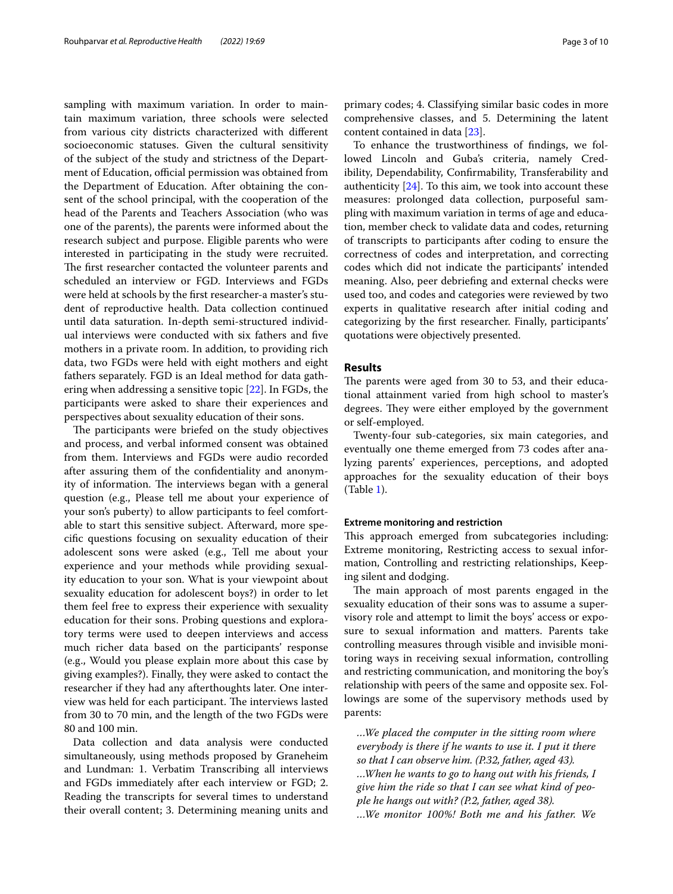sampling with maximum variation. In order to maintain maximum variation, three schools were selected from various city districts characterized with diferent socioeconomic statuses. Given the cultural sensitivity of the subject of the study and strictness of the Department of Education, official permission was obtained from the Department of Education. After obtaining the consent of the school principal, with the cooperation of the head of the Parents and Teachers Association (who was one of the parents), the parents were informed about the research subject and purpose. Eligible parents who were interested in participating in the study were recruited. The first researcher contacted the volunteer parents and scheduled an interview or FGD. Interviews and FGDs were held at schools by the frst researcher-a master's student of reproductive health. Data collection continued until data saturation. In-depth semi-structured individual interviews were conducted with six fathers and fve mothers in a private room. In addition, to providing rich data, two FGDs were held with eight mothers and eight fathers separately. FGD is an Ideal method for data gathering when addressing a sensitive topic [[22\]](#page-9-19). In FGDs, the participants were asked to share their experiences and perspectives about sexuality education of their sons.

The participants were briefed on the study objectives and process, and verbal informed consent was obtained from them. Interviews and FGDs were audio recorded after assuring them of the confdentiality and anonymity of information. The interviews began with a general question (e.g., Please tell me about your experience of your son's puberty) to allow participants to feel comfortable to start this sensitive subject. Afterward, more specifc questions focusing on sexuality education of their adolescent sons were asked (e.g., Tell me about your experience and your methods while providing sexuality education to your son. What is your viewpoint about sexuality education for adolescent boys?) in order to let them feel free to express their experience with sexuality education for their sons. Probing questions and exploratory terms were used to deepen interviews and access much richer data based on the participants' response (e.g., Would you please explain more about this case by giving examples?). Finally, they were asked to contact the researcher if they had any afterthoughts later. One interview was held for each participant. The interviews lasted from 30 to 70 min, and the length of the two FGDs were 80 and 100 min.

Data collection and data analysis were conducted simultaneously, using methods proposed by Graneheim and Lundman: 1. Verbatim Transcribing all interviews and FGDs immediately after each interview or FGD; 2. Reading the transcripts for several times to understand their overall content; 3. Determining meaning units and primary codes; 4. Classifying similar basic codes in more comprehensive classes, and 5. Determining the latent content contained in data [\[23](#page-9-20)].

To enhance the trustworthiness of fndings, we followed Lincoln and Guba's criteria, namely Credibility, Dependability, Confrmability, Transferability and authenticity  $[24]$  $[24]$ . To this aim, we took into account these measures: prolonged data collection, purposeful sampling with maximum variation in terms of age and education, member check to validate data and codes, returning of transcripts to participants after coding to ensure the correctness of codes and interpretation, and correcting codes which did not indicate the participants' intended meaning. Also, peer debriefng and external checks were used too, and codes and categories were reviewed by two experts in qualitative research after initial coding and categorizing by the frst researcher. Finally, participants' quotations were objectively presented.

## **Results**

The parents were aged from 30 to 53, and their educational attainment varied from high school to master's degrees. They were either employed by the government or self-employed.

Twenty-four sub-categories, six main categories, and eventually one theme emerged from 73 codes after analyzing parents' experiences, perceptions, and adopted approaches for the sexuality education of their boys (Table [1\)](#page-3-0).

#### **Extreme monitoring and restriction**

This approach emerged from subcategories including: Extreme monitoring, Restricting access to sexual information, Controlling and restricting relationships, Keeping silent and dodging.

The main approach of most parents engaged in the sexuality education of their sons was to assume a supervisory role and attempt to limit the boys' access or exposure to sexual information and matters. Parents take controlling measures through visible and invisible monitoring ways in receiving sexual information, controlling and restricting communication, and monitoring the boy's relationship with peers of the same and opposite sex. Followings are some of the supervisory methods used by parents:

*…We placed the computer in the sitting room where everybody is there if he wants to use it. I put it there so that I can observe him. (P.32, father, aged 43). …When he wants to go to hang out with his friends, I give him the ride so that I can see what kind of people he hangs out with? (P.2, father, aged 38). …We monitor 100%! Both me and his father. We*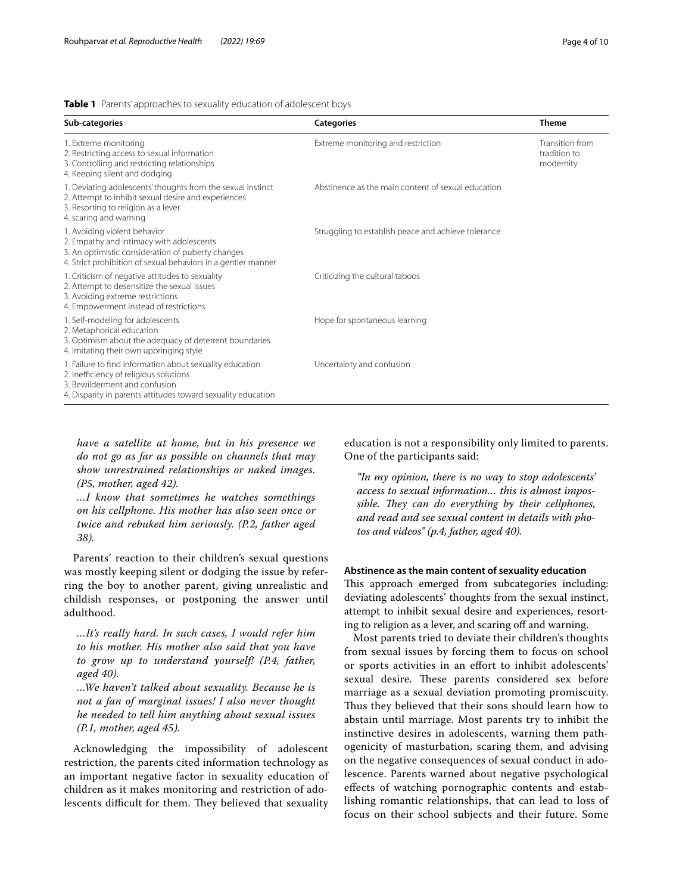### <span id="page-3-0"></span>**Table 1** Parents' approaches to sexuality education of adolescent boys

| Sub-categories                                                                                                                                                                                       | <b>Categories</b>                                   | <b>Theme</b>                                 |
|------------------------------------------------------------------------------------------------------------------------------------------------------------------------------------------------------|-----------------------------------------------------|----------------------------------------------|
| 1. Extreme monitoring<br>2. Restricting access to sexual information<br>3. Controlling and restricting relationships<br>4. Keeping silent and dodging                                                | Extreme monitoring and restriction                  | Transition from<br>tradition to<br>modernity |
| 1. Deviating adolescents' thoughts from the sexual instinct<br>2. Attempt to inhibit sexual desire and experiences<br>3. Resorting to religion as a lever<br>4. scaring and warning                  | Abstinence as the main content of sexual education  |                                              |
| 1. Avoiding violent behavior<br>2. Empathy and intimacy with adolescents<br>3. An optimistic consideration of puberty changes<br>4. Strict prohibition of sexual behaviors in a gentler manner       | Struggling to establish peace and achieve tolerance |                                              |
| 1. Criticism of negative attitudes to sexuality<br>2. Attempt to desensitize the sexual issues<br>3. Avoiding extreme restrictions<br>4. Empowerment instead of restrictions                         | Criticizing the cultural taboos                     |                                              |
| 1. Self-modeling for adolescents<br>2. Metaphorical education<br>3. Optimism about the adequacy of deterrent boundaries<br>4. Imitating their own upbringing style                                   | Hope for spontaneous learning                       |                                              |
| 1. Failure to find information about sexuality education<br>2. Inefficiency of religious solutions<br>3. Bewilderment and confusion<br>4. Disparity in parents' attitudes toward sexuality education | Uncertainty and confusion                           |                                              |

*have a satellite at home, but in his presence we do not go as far as possible on channels that may show unrestrained relationships or naked images. (P5, mother, aged 42).*

*…I know that sometimes he watches somethings on his cellphone. His mother has also seen once or twice and rebuked him seriously. (P.2, father aged 38).*

Parents' reaction to their children's sexual questions was mostly keeping silent or dodging the issue by referring the boy to another parent, giving unrealistic and childish responses, or postponing the answer until adulthood.

*…It's really hard. In such cases, I would refer him to his mother. His mother also said that you have to grow up to understand yourself! (P.4, father, aged 40).*

*…We haven't talked about sexuality. Because he is not a fan of marginal issues! I also never thought he needed to tell him anything about sexual issues (P.1, mother, aged 45).*

Acknowledging the impossibility of adolescent restriction, the parents cited information technology as an important negative factor in sexuality education of children as it makes monitoring and restriction of adolescents difficult for them. They believed that sexuality education is not a responsibility only limited to parents. One of the participants said:

*"In my opinion, there is no way to stop adolescents' access to sexual information… this is almost impos*sible. They can do everything by their cellphones, *and read and see sexual content in details with photos and videos" (p.4, father, aged 40).*

## **Abstinence as the main content of sexuality education**

This approach emerged from subcategories including: deviating adolescents' thoughts from the sexual instinct, attempt to inhibit sexual desire and experiences, resorting to religion as a lever, and scaring off and warning.

Most parents tried to deviate their children's thoughts from sexual issues by forcing them to focus on school or sports activities in an efort to inhibit adolescents' sexual desire. These parents considered sex before marriage as a sexual deviation promoting promiscuity. Thus they believed that their sons should learn how to abstain until marriage. Most parents try to inhibit the instinctive desires in adolescents, warning them pathogenicity of masturbation, scaring them, and advising on the negative consequences of sexual conduct in adolescence. Parents warned about negative psychological efects of watching pornographic contents and establishing romantic relationships, that can lead to loss of focus on their school subjects and their future. Some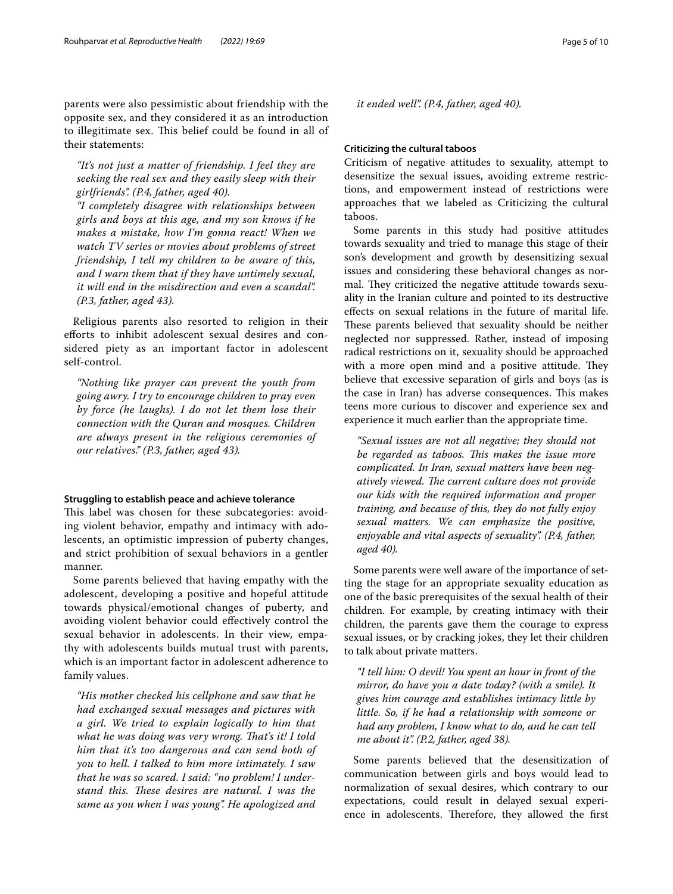parents were also pessimistic about friendship with the opposite sex, and they considered it as an introduction to illegitimate sex. This belief could be found in all of their statements:

*"It's not just a matter of friendship. I feel they are seeking the real sex and they easily sleep with their girlfriends". (P.4, father, aged 40).*

*"I completely disagree with relationships between girls and boys at this age, and my son knows if he makes a mistake, how I'm gonna react! When we watch TV series or movies about problems of street friendship, I tell my children to be aware of this, and I warn them that if they have untimely sexual, it will end in the misdirection and even a scandal". (P.3, father, aged 43).*

Religious parents also resorted to religion in their eforts to inhibit adolescent sexual desires and considered piety as an important factor in adolescent self-control.

*"Nothing like prayer can prevent the youth from going awry. I try to encourage children to pray even by force (he laughs). I do not let them lose their connection with the Quran and mosques. Children are always present in the religious ceremonies of our relatives." (P.3, father, aged 43).*

## **Struggling to establish peace and achieve tolerance**

This label was chosen for these subcategories: avoiding violent behavior, empathy and intimacy with adolescents, an optimistic impression of puberty changes, and strict prohibition of sexual behaviors in a gentler manner.

Some parents believed that having empathy with the adolescent, developing a positive and hopeful attitude towards physical/emotional changes of puberty, and avoiding violent behavior could efectively control the sexual behavior in adolescents. In their view, empathy with adolescents builds mutual trust with parents, which is an important factor in adolescent adherence to family values.

*"His mother checked his cellphone and saw that he had exchanged sexual messages and pictures with a girl. We tried to explain logically to him that*  what he was doing was very wrong. That's it! I told *him that it's too dangerous and can send both of you to hell. I talked to him more intimately. I saw that he was so scared. I said: "no problem! I under*stand this. These desires are natural. I was the *same as you when I was young". He apologized and* 

*it ended well". (P.4, father, aged 40).*

## **Criticizing the cultural taboos**

Criticism of negative attitudes to sexuality, attempt to desensitize the sexual issues, avoiding extreme restrictions, and empowerment instead of restrictions were approaches that we labeled as Criticizing the cultural taboos.

Some parents in this study had positive attitudes towards sexuality and tried to manage this stage of their son's development and growth by desensitizing sexual issues and considering these behavioral changes as normal. They criticized the negative attitude towards sexuality in the Iranian culture and pointed to its destructive efects on sexual relations in the future of marital life. These parents believed that sexuality should be neither neglected nor suppressed. Rather, instead of imposing radical restrictions on it, sexuality should be approached with a more open mind and a positive attitude. They believe that excessive separation of girls and boys (as is the case in Iran) has adverse consequences. This makes teens more curious to discover and experience sex and experience it much earlier than the appropriate time.

*"Sexual issues are not all negative; they should not be regarded as taboos. Tis makes the issue more complicated. In Iran, sexual matters have been negatively viewed. The current culture does not provide our kids with the required information and proper training, and because of this, they do not fully enjoy sexual matters. We can emphasize the positive, enjoyable and vital aspects of sexuality". (P.4, father, aged 40).*

Some parents were well aware of the importance of setting the stage for an appropriate sexuality education as one of the basic prerequisites of the sexual health of their children. For example, by creating intimacy with their children, the parents gave them the courage to express sexual issues, or by cracking jokes, they let their children to talk about private matters.

*"I tell him: O devil! You spent an hour in front of the mirror, do have you a date today? (with a smile). It gives him courage and establishes intimacy little by little. So, if he had a relationship with someone or had any problem, I know what to do, and he can tell me about it". (P.2, father, aged 38).*

Some parents believed that the desensitization of communication between girls and boys would lead to normalization of sexual desires, which contrary to our expectations, could result in delayed sexual experience in adolescents. Therefore, they allowed the first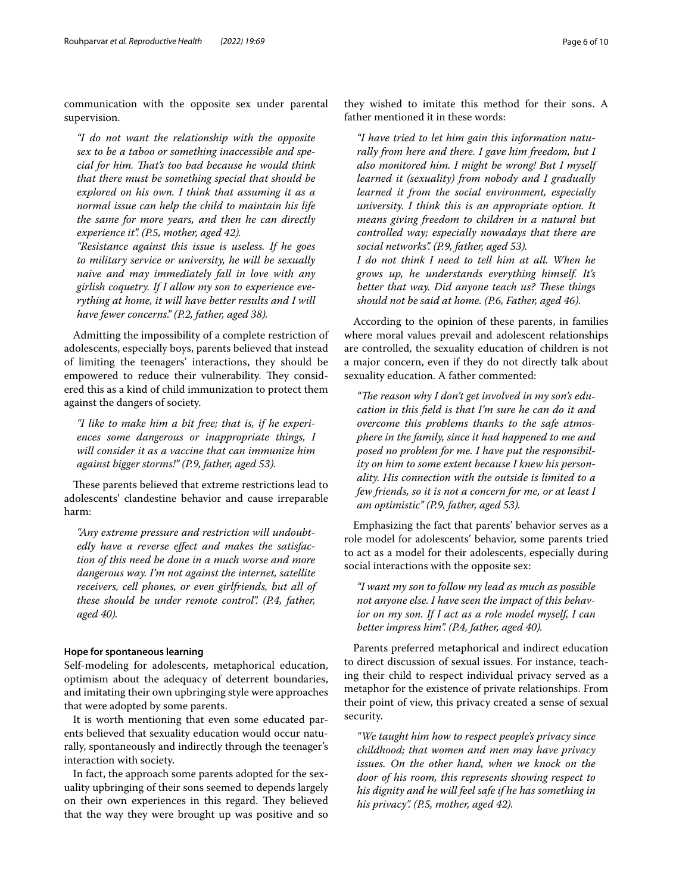communication with the opposite sex under parental supervision.

*"I do not want the relationship with the opposite sex to be a taboo or something inaccessible and special for him. Tat's too bad because he would think that there must be something special that should be explored on his own. I think that assuming it as a normal issue can help the child to maintain his life the same for more years, and then he can directly experience it". (P.5, mother, aged 42).*

*"Resistance against this issue is useless. If he goes to military service or university, he will be sexually naive and may immediately fall in love with any girlish coquetry. If I allow my son to experience everything at home, it will have better results and I will have fewer concerns." (P.2, father, aged 38).*

Admitting the impossibility of a complete restriction of adolescents, especially boys, parents believed that instead of limiting the teenagers' interactions, they should be empowered to reduce their vulnerability. They considered this as a kind of child immunization to protect them against the dangers of society.

*"I like to make him a bit free; that is, if he experiences some dangerous or inappropriate things, I will consider it as a vaccine that can immunize him against bigger storms!" (P.9, father, aged 53).*

These parents believed that extreme restrictions lead to adolescents' clandestine behavior and cause irreparable harm:

*"Any extreme pressure and restriction will undoubtedly have a reverse efect and makes the satisfaction of this need be done in a much worse and more dangerous way. I'm not against the internet, satellite receivers, cell phones, or even girlfriends, but all of these should be under remote control". (P.4, father, aged 40).*

## **Hope for spontaneous learning**

Self-modeling for adolescents, metaphorical education, optimism about the adequacy of deterrent boundaries, and imitating their own upbringing style were approaches that were adopted by some parents.

It is worth mentioning that even some educated parents believed that sexuality education would occur naturally, spontaneously and indirectly through the teenager's interaction with society.

In fact, the approach some parents adopted for the sexuality upbringing of their sons seemed to depends largely on their own experiences in this regard. They believed that the way they were brought up was positive and so

they wished to imitate this method for their sons. A father mentioned it in these words:

*"I have tried to let him gain this information naturally from here and there. I gave him freedom, but I also monitored him. I might be wrong! But I myself learned it (sexuality) from nobody and I gradually learned it from the social environment, especially university. I think this is an appropriate option. It means giving freedom to children in a natural but controlled way; especially nowadays that there are social networks". (P.9, father, aged 53).*

*I do not think I need to tell him at all. When he grows up, he understands everything himself. It's better that way. Did anyone teach us? These things should not be said at home. (P.6, Father, aged 46).*

According to the opinion of these parents, in families where moral values prevail and adolescent relationships are controlled, the sexuality education of children is not a major concern, even if they do not directly talk about sexuality education. A father commented:

"The reason why I don't get involved in my son's edu*cation in this feld is that I'm sure he can do it and overcome this problems thanks to the safe atmosphere in the family, since it had happened to me and posed no problem for me. I have put the responsibility on him to some extent because I knew his personality. His connection with the outside is limited to a few friends, so it is not a concern for me, or at least I am optimistic" (P.9, father, aged 53).*

Emphasizing the fact that parents' behavior serves as a role model for adolescents' behavior, some parents tried to act as a model for their adolescents, especially during social interactions with the opposite sex:

*"I want my son to follow my lead as much as possible not anyone else. I have seen the impact of this behavior on my son. If I act as a role model myself, I can better impress him". (P.4, father, aged 40).*

Parents preferred metaphorical and indirect education to direct discussion of sexual issues. For instance, teaching their child to respect individual privacy served as a metaphor for the existence of private relationships. From their point of view, this privacy created a sense of sexual security.

*"We taught him how to respect people's privacy since childhood; that women and men may have privacy issues. On the other hand, when we knock on the door of his room, this represents showing respect to his dignity and he will feel safe if he has something in his privacy". (P.5, mother, aged 42).*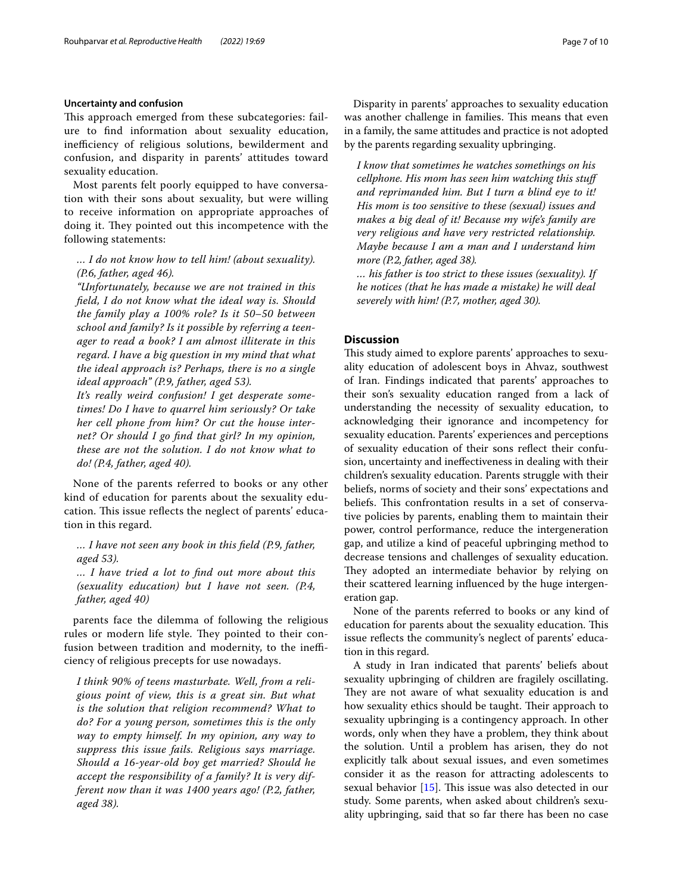## **Uncertainty and confusion**

This approach emerged from these subcategories: failure to fnd information about sexuality education, inefficiency of religious solutions, bewilderment and confusion, and disparity in parents' attitudes toward sexuality education.

Most parents felt poorly equipped to have conversation with their sons about sexuality, but were willing to receive information on appropriate approaches of doing it. They pointed out this incompetence with the following statements:

## *… I do not know how to tell him! (about sexuality). (P.6, father, aged 46).*

*"Unfortunately, because we are not trained in this feld, I do not know what the ideal way is. Should the family play a 100% role? Is it 50–50 between school and family? Is it possible by referring a teenager to read a book? I am almost illiterate in this regard. I have a big question in my mind that what the ideal approach is? Perhaps, there is no a single ideal approach" (P.9, father, aged 53).*

*It's really weird confusion! I get desperate sometimes! Do I have to quarrel him seriously? Or take her cell phone from him? Or cut the house internet? Or should I go fnd that girl? In my opinion, these are not the solution. I do not know what to do! (P.4, father, aged 40).*

None of the parents referred to books or any other kind of education for parents about the sexuality education. This issue reflects the neglect of parents' education in this regard.

*… I have not seen any book in this feld (P.9, father, aged 53).*

*… I have tried a lot to fnd out more about this (sexuality education) but I have not seen. (P.4, father, aged 40)*

parents face the dilemma of following the religious rules or modern life style. They pointed to their confusion between tradition and modernity, to the inefficiency of religious precepts for use nowadays.

*I think 90% of teens masturbate. Well, from a religious point of view, this is a great sin. But what is the solution that religion recommend? What to do? For a young person, sometimes this is the only way to empty himself. In my opinion, any way to suppress this issue fails. Religious says marriage. Should a 16-year-old boy get married? Should he accept the responsibility of a family? It is very different now than it was 1400 years ago! (P.2, father, aged 38).*

Disparity in parents' approaches to sexuality education was another challenge in families. This means that even in a family, the same attitudes and practice is not adopted by the parents regarding sexuality upbringing.

*I know that sometimes he watches somethings on his cellphone. His mom has seen him watching this stuf and reprimanded him. But I turn a blind eye to it! His mom is too sensitive to these (sexual) issues and makes a big deal of it! Because my wife's family are very religious and have very restricted relationship. Maybe because I am a man and I understand him more (P.2, father, aged 38).*

*… his father is too strict to these issues (sexuality). If he notices (that he has made a mistake) he will deal severely with him! (P.7, mother, aged 30).*

## **Discussion**

This study aimed to explore parents' approaches to sexuality education of adolescent boys in Ahvaz, southwest of Iran. Findings indicated that parents' approaches to their son's sexuality education ranged from a lack of understanding the necessity of sexuality education, to acknowledging their ignorance and incompetency for sexuality education. Parents' experiences and perceptions of sexuality education of their sons refect their confusion, uncertainty and inefectiveness in dealing with their children's sexuality education. Parents struggle with their beliefs, norms of society and their sons' expectations and beliefs. This confrontation results in a set of conservative policies by parents, enabling them to maintain their power, control performance, reduce the intergeneration gap, and utilize a kind of peaceful upbringing method to decrease tensions and challenges of sexuality education. They adopted an intermediate behavior by relying on their scattered learning infuenced by the huge intergeneration gap.

None of the parents referred to books or any kind of education for parents about the sexuality education. This issue refects the community's neglect of parents' education in this regard.

A study in Iran indicated that parents' beliefs about sexuality upbringing of children are fragilely oscillating. They are not aware of what sexuality education is and how sexuality ethics should be taught. Their approach to sexuality upbringing is a contingency approach. In other words, only when they have a problem, they think about the solution. Until a problem has arisen, they do not explicitly talk about sexual issues, and even sometimes consider it as the reason for attracting adolescents to sexual behavior  $[15]$ . This issue was also detected in our study. Some parents, when asked about children's sexuality upbringing, said that so far there has been no case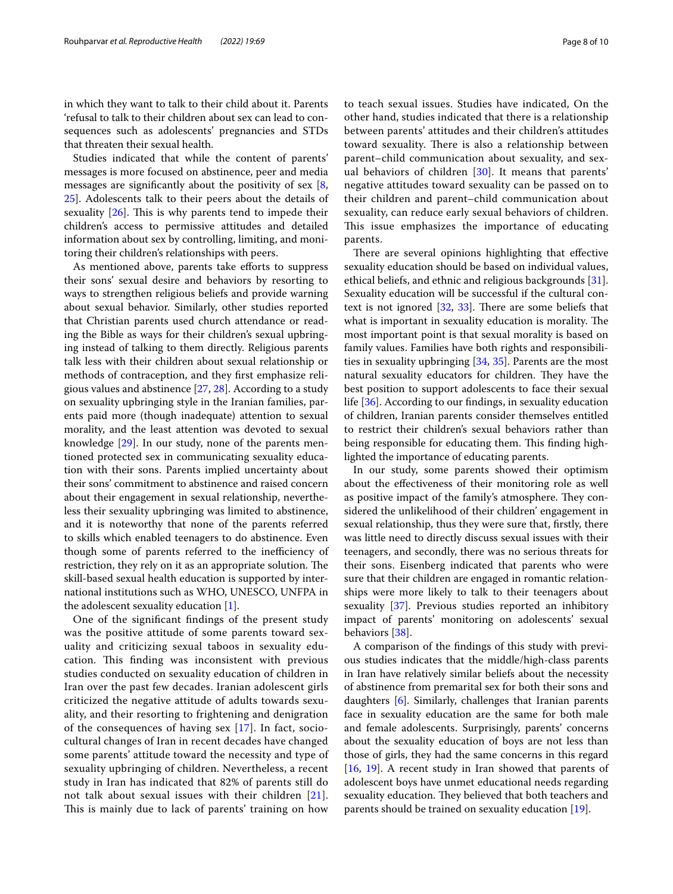in which they want to talk to their child about it. Parents 'refusal to talk to their children about sex can lead to consequences such as adolescents' pregnancies and STDs that threaten their sexual health.

Studies indicated that while the content of parents' messages is more focused on abstinence, peer and media messages are signifcantly about the positivity of sex [\[8](#page-9-6), [25\]](#page-9-23). Adolescents talk to their peers about the details of sexuality  $[26]$ . This is why parents tend to impede their children's access to permissive attitudes and detailed information about sex by controlling, limiting, and monitoring their children's relationships with peers.

As mentioned above, parents take efforts to suppress their sons' sexual desire and behaviors by resorting to ways to strengthen religious beliefs and provide warning about sexual behavior. Similarly, other studies reported that Christian parents used church attendance or reading the Bible as ways for their children's sexual upbringing instead of talking to them directly. Religious parents talk less with their children about sexual relationship or methods of contraception, and they frst emphasize religious values and abstinence [[27](#page-9-25), [28\]](#page-9-26). According to a study on sexuality upbringing style in the Iranian families, parents paid more (though inadequate) attention to sexual morality, and the least attention was devoted to sexual knowledge [\[29](#page-9-27)]. In our study, none of the parents mentioned protected sex in communicating sexuality education with their sons. Parents implied uncertainty about their sons' commitment to abstinence and raised concern about their engagement in sexual relationship, nevertheless their sexuality upbringing was limited to abstinence, and it is noteworthy that none of the parents referred to skills which enabled teenagers to do abstinence. Even though some of parents referred to the inefficiency of restriction, they rely on it as an appropriate solution. The skill-based sexual health education is supported by international institutions such as WHO, UNESCO, UNFPA in the adolescent sexuality education [[1\]](#page-8-0).

One of the signifcant fndings of the present study was the positive attitude of some parents toward sexuality and criticizing sexual taboos in sexuality education. This finding was inconsistent with previous studies conducted on sexuality education of children in Iran over the past few decades. Iranian adolescent girls criticized the negative attitude of adults towards sexuality, and their resorting to frightening and denigration of the consequences of having sex [[17](#page-9-14)]. In fact, sociocultural changes of Iran in recent decades have changed some parents' attitude toward the necessity and type of sexuality upbringing of children. Nevertheless, a recent study in Iran has indicated that 82% of parents still do not talk about sexual issues with their children [[21\]](#page-9-18). This is mainly due to lack of parents' training on how

to teach sexual issues. Studies have indicated, On the other hand, studies indicated that there is a relationship between parents' attitudes and their children's attitudes toward sexuality. There is also a relationship between parent–child communication about sexuality, and sexual behaviors of children [[30\]](#page-9-28). It means that parents' negative attitudes toward sexuality can be passed on to their children and parent–child communication about sexuality, can reduce early sexual behaviors of children. This issue emphasizes the importance of educating parents.

There are several opinions highlighting that effective sexuality education should be based on individual values, ethical beliefs, and ethnic and religious backgrounds [\[31](#page-9-29)]. Sexuality education will be successful if the cultural context is not ignored  $[32, 33]$  $[32, 33]$  $[32, 33]$  $[32, 33]$  $[32, 33]$ . There are some beliefs that what is important in sexuality education is morality. The most important point is that sexual morality is based on family values. Families have both rights and responsibilities in sexuality upbringing [[34](#page-9-32), [35](#page-9-33)]. Parents are the most natural sexuality educators for children. They have the best position to support adolescents to face their sexual life [[36\]](#page-9-34). According to our fndings, in sexuality education of children, Iranian parents consider themselves entitled to restrict their children's sexual behaviors rather than being responsible for educating them. This finding highlighted the importance of educating parents.

In our study, some parents showed their optimism about the efectiveness of their monitoring role as well as positive impact of the family's atmosphere. They considered the unlikelihood of their children' engagement in sexual relationship, thus they were sure that, frstly, there was little need to directly discuss sexual issues with their teenagers, and secondly, there was no serious threats for their sons. Eisenberg indicated that parents who were sure that their children are engaged in romantic relationships were more likely to talk to their teenagers about sexuality [[37](#page-9-35)]. Previous studies reported an inhibitory impact of parents' monitoring on adolescents' sexual behaviors [[38](#page-9-36)].

A comparison of the fndings of this study with previous studies indicates that the middle/high-class parents in Iran have relatively similar beliefs about the necessity of abstinence from premarital sex for both their sons and daughters [\[6](#page-9-4)]. Similarly, challenges that Iranian parents face in sexuality education are the same for both male and female adolescents. Surprisingly, parents' concerns about the sexuality education of boys are not less than those of girls, they had the same concerns in this regard [[16,](#page-9-13) [19\]](#page-9-16). A recent study in Iran showed that parents of adolescent boys have unmet educational needs regarding sexuality education. They believed that both teachers and parents should be trained on sexuality education [\[19\]](#page-9-16).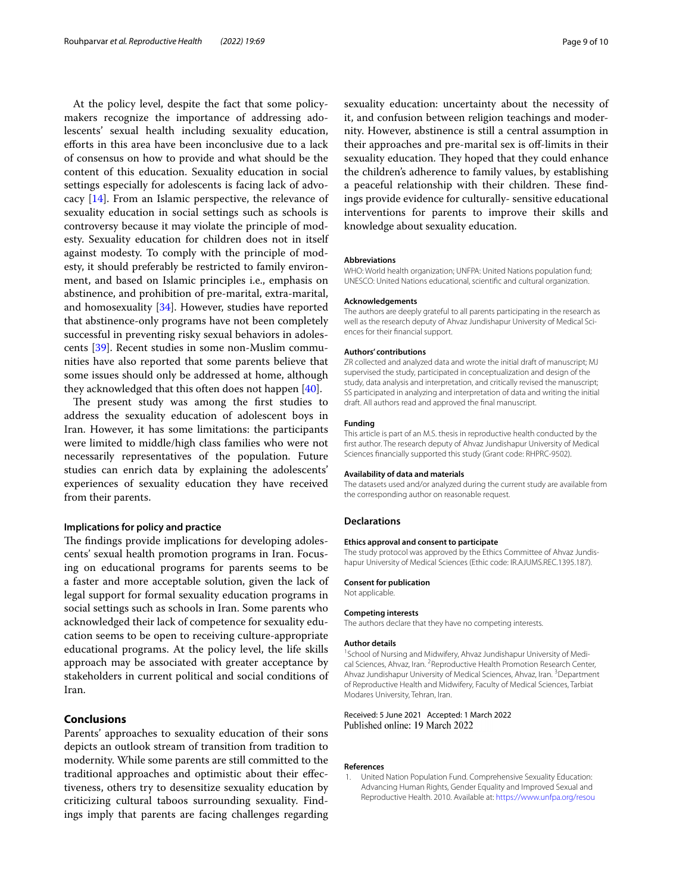At the policy level, despite the fact that some policymakers recognize the importance of addressing adolescents' sexual health including sexuality education, eforts in this area have been inconclusive due to a lack of consensus on how to provide and what should be the content of this education. Sexuality education in social settings especially for adolescents is facing lack of advocacy [\[14](#page-9-12)]. From an Islamic perspective, the relevance of sexuality education in social settings such as schools is controversy because it may violate the principle of modesty. Sexuality education for children does not in itself against modesty. To comply with the principle of modesty, it should preferably be restricted to family environment, and based on Islamic principles i.e., emphasis on abstinence, and prohibition of pre-marital, extra-marital, and homosexuality [\[34\]](#page-9-32). However, studies have reported that abstinence-only programs have not been completely successful in preventing risky sexual behaviors in adolescents [\[39](#page-9-37)]. Recent studies in some non-Muslim communities have also reported that some parents believe that some issues should only be addressed at home, although they acknowledged that this often does not happen [\[40\]](#page-9-38).

The present study was among the first studies to address the sexuality education of adolescent boys in Iran. However, it has some limitations: the participants were limited to middle/high class families who were not necessarily representatives of the population. Future studies can enrich data by explaining the adolescents' experiences of sexuality education they have received from their parents.

## **Implications for policy and practice**

The findings provide implications for developing adolescents' sexual health promotion programs in Iran. Focusing on educational programs for parents seems to be a faster and more acceptable solution, given the lack of legal support for formal sexuality education programs in social settings such as schools in Iran. Some parents who acknowledged their lack of competence for sexuality education seems to be open to receiving culture-appropriate educational programs. At the policy level, the life skills approach may be associated with greater acceptance by stakeholders in current political and social conditions of Iran.

## **Conclusions**

Parents' approaches to sexuality education of their sons depicts an outlook stream of transition from tradition to modernity. While some parents are still committed to the traditional approaches and optimistic about their efectiveness, others try to desensitize sexuality education by criticizing cultural taboos surrounding sexuality. Findings imply that parents are facing challenges regarding sexuality education: uncertainty about the necessity of it, and confusion between religion teachings and modernity. However, abstinence is still a central assumption in their approaches and pre-marital sex is of-limits in their sexuality education. They hoped that they could enhance the children's adherence to family values, by establishing a peaceful relationship with their children. These findings provide evidence for culturally- sensitive educational interventions for parents to improve their skills and knowledge about sexuality education.

#### **Abbreviations**

WHO: World health organization; UNFPA: United Nations population fund; UNESCO: United Nations educational, scientifc and cultural organization.

#### **Acknowledgements**

The authors are deeply grateful to all parents participating in the research as well as the research deputy of Ahvaz Jundishapur University of Medical Sciences for their fnancial support.

#### **Authors' contributions**

ZR collected and analyzed data and wrote the initial draft of manuscript; MJ supervised the study, participated in conceptualization and design of the study, data analysis and interpretation, and critically revised the manuscript; SS participated in analyzing and interpretation of data and writing the initial draft. All authors read and approved the fnal manuscript.

#### **Funding**

This article is part of an M.S. thesis in reproductive health conducted by the frst author. The research deputy of Ahvaz Jundishapur University of Medical Sciences fnancially supported this study (Grant code: RHPRC-9502).

#### **Availability of data and materials**

The datasets used and/or analyzed during the current study are available from the corresponding author on reasonable request.

#### **Declarations**

#### **Ethics approval and consent to participate**

The study protocol was approved by the Ethics Committee of Ahvaz Jundishapur University of Medical Sciences (Ethic code: IR.AJUMS.REC.1395.187).

#### **Consent for publication**

Not applicable.

#### **Competing interests**

The authors declare that they have no competing interests.

#### **Author details**

<sup>1</sup> School of Nursing and Midwifery, Ahvaz Jundishapur University of Medical Sciences, Ahvaz, Iran. <sup>2</sup> Reproductive Health Promotion Research Center, Ahvaz Jundishapur University of Medical Sciences, Ahvaz, Iran. <sup>3</sup> Department of Reproductive Health and Midwifery, Faculty of Medical Sciences, Tarbiat Modares University, Tehran, Iran.

## Received: 5 June 2021 Accepted: 1 March 2022<br>Published online: 19 March 2022

#### **References**

<span id="page-8-0"></span>1. United Nation Population Fund. Comprehensive Sexuality Education: Advancing Human Rights, Gender Equality and Improved Sexual and Reproductive Health. 2010. Available at: [https://www.unfpa.org/resou](https://www.unfpa.org/resources/comprehensive-sexuality-education-advancing-human-rights-gender-equality-and-improved)